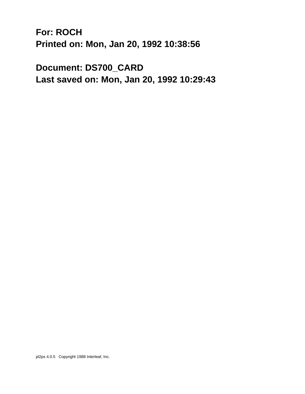**For: ROCH Printed on: Mon, Jan 20, 1992 10:38:56** 

**Document: DS700\_CARD Last saved on: Mon, Jan 20, 1992 10:29:43**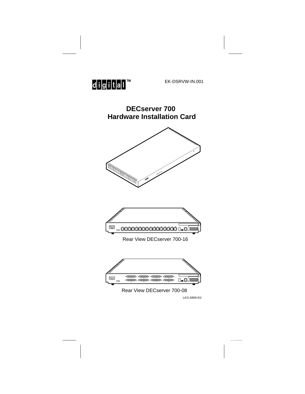

EK-DSRVW-IN.001

**DECserver 700 Hardware Installation Card**





Rear View DECserver 700-16



LKG-5809-91l Rear View DECserver 700-08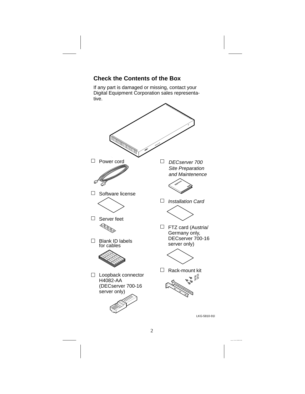

## **Check the Contents of the Box**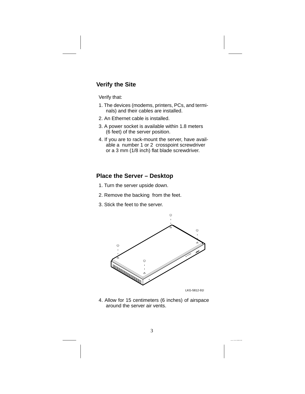## **Verify the Site**

Verify that:

- 1. The devices (modems, printers, PCs, and terminals) and their cables are installed.
- 2. An Ethernet cable is installed.
- 3. A power socket is available within 1.8 meters (6 feet) of the server position.
- 4. If you are to rack-mount the server, have available a number 1 or 2 crosspoint screwdriver or a 3 mm (1/8 inch) flat blade screwdriver.

#### **Place the Server – Desktop**

- 1. Turn the server upside down.
- 2. Remove the backing from the feet.
- 3. Stick the feet to the server.



4. Allow for 15 centimeters (6 inches) of airspace around the server air vents.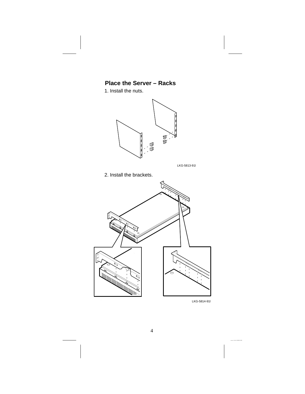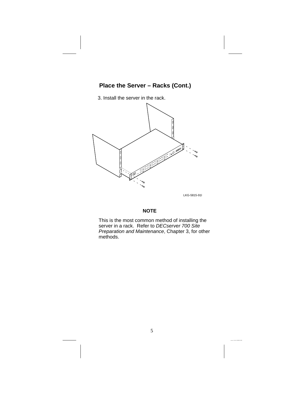# **Place the Server – Racks (Cont.)**

3. Install the server in the rack.



#### **NOTE**

This is the most common method of installing the server in a rack. Refer to DECserver 700 Site Preparation and Maintenance, Chapter 3, for other methods.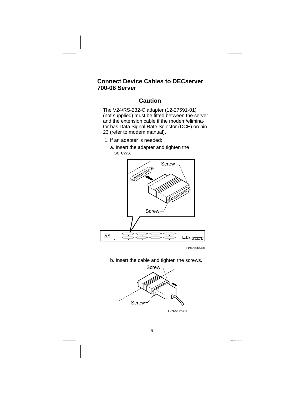### **Connect Device Cables to DECserver 700-08 Server**

## **Caution**

The V24/RS-232-C adapter (12-27591-01) (not supplied) must be fitted between the server and the extension cable if the modem/eliminator has Data Signal Rate Selector (DCE) on pin 23 (refer to modem manual).

- 1. If an adapter is needed:
	- a. Insert the adapter and tighten the screws.



LKG-5816-91l

b. Insert the cable and tighten the screws.

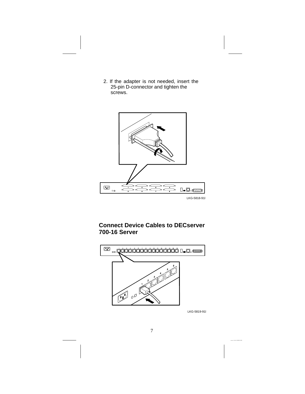2. If the adapter is not needed, insert the 25-pin D-connector and tighten the screws.



# **Connect Device Cables to DECserver 700-16 Server**



LKG-5819-91l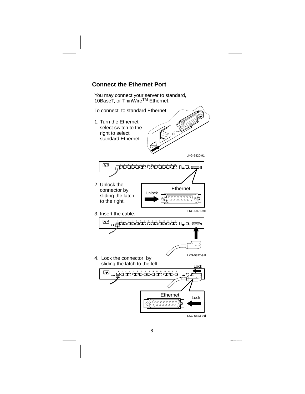

You may connect your server to standard, 10BaseT, or ThinWire™ Ethernet.

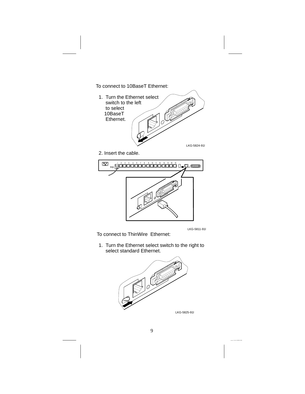To connect to 10BaseT Ethernet:



2. Insert the cable.



LKG-5811-91l

To connect to ThinWire Ethernet:

1. Turn the Ethernet select switch to the right to select standard Ethernet.

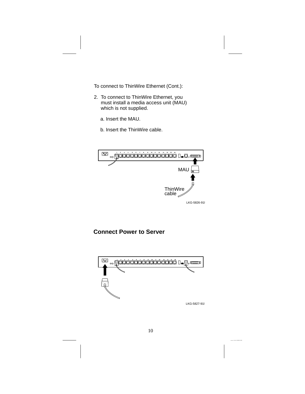To connect to ThinWire Ethernet (Cont.):

- 2. To connect to ThinWire Ethernet, you must install a media access unit (MAU) which is not supplied.
	- a. Insert the MAU.
	- b. Insert the ThinWire cable.



### **Connect Power to Server**

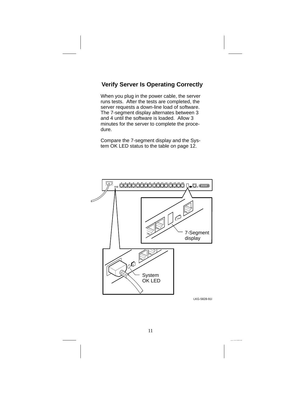## **Verify Server Is Operating Correctly**

When you plug in the power cable, the server runs tests. After the tests are completed, the server requests a down-line load of software. The 7-segment display alternates between 3 and 4 until the software is loaded. Allow 3 minutes for the server to complete the procedure.

Compare the 7-segment display and the System OK LED status to the table on page 12.